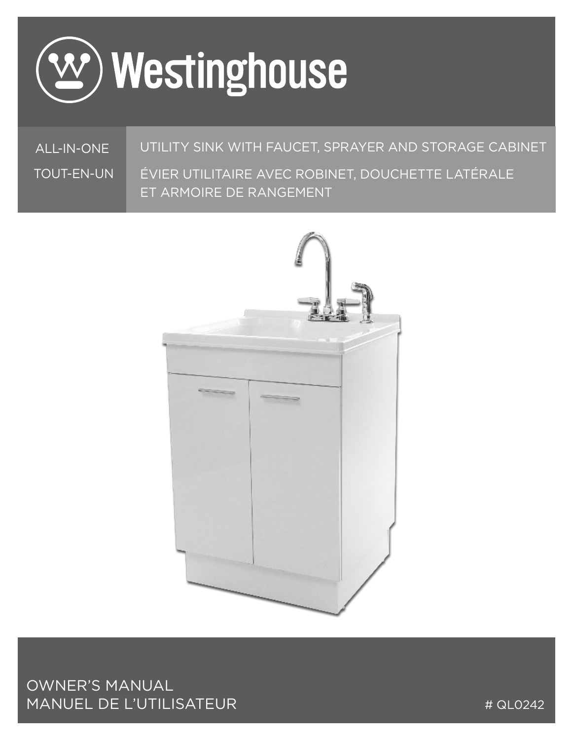

ALL-IN-ONE TOUT-EN-UN

#### UTILITY SINK WITH FAUCET, SPRAYER AND STORAGE CABINET

ÉVIER UTILITAIRE AVEC ROBINET, DOUCHETTE LATÉRALE ET ARMOIRE DE RANGEMENT



OWNER'S MANUAL MANUEL DE L'UTILISATEUR

# QL0242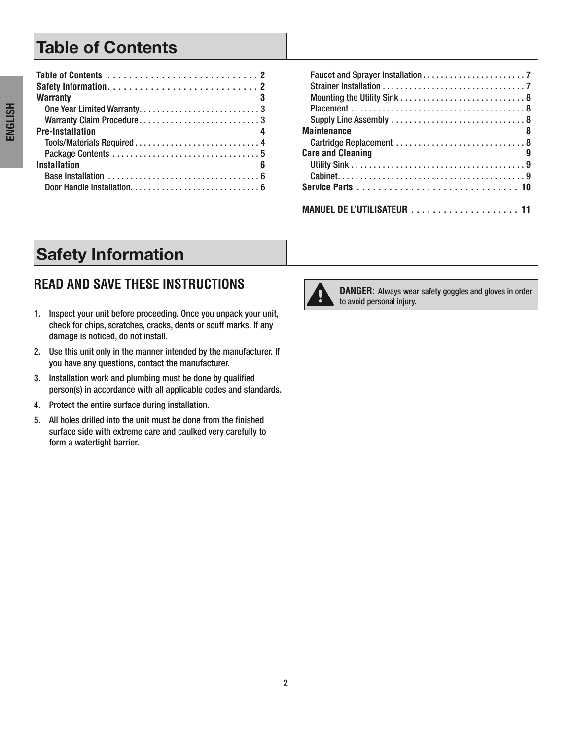# **Table of Contents**

| <b>Warranty</b>                                                                    |
|------------------------------------------------------------------------------------|
| One Year Limited Warranty3                                                         |
| Warranty Claim Procedure3                                                          |
| <b>Pre-Installation</b>                                                            |
|                                                                                    |
|                                                                                    |
| <b>Installation</b><br>6                                                           |
| Base Installation $\ldots \ldots \ldots \ldots \ldots \ldots \ldots \ldots \ldots$ |
|                                                                                    |

| <b>Maintenance</b><br>8     |
|-----------------------------|
| Cartridge Replacement  8    |
| <b>Care and Cleaning</b>    |
|                             |
|                             |
|                             |
|                             |
| MANUEL DE L'UTILISATEUR  11 |

# **Safety Information**

# **READ AND SAVE THESE INSTRUCTIONS**

- 1. Inspect your unit before proceeding. Once you unpack your unit, check for chips, scratches, cracks, dents or scuff marks . If any damage is noticed, do not install.
- 2. Use this unit only in the manner intended by the manufacturer. If you have any questions, contact the manufacturer.
- 3. Installation work and plumbing must be done by qualified person(s) in accordance with all applicable codes and standards.
- 4. Protect the entire surface during installation.
- 5 . All holes drilled into the unit must be done from the finished surface side with extreme care and caulked very carefully to form a watertight barrier.



**DANGER:** Always wear safety goggles and gloves in order to avoid personal injury.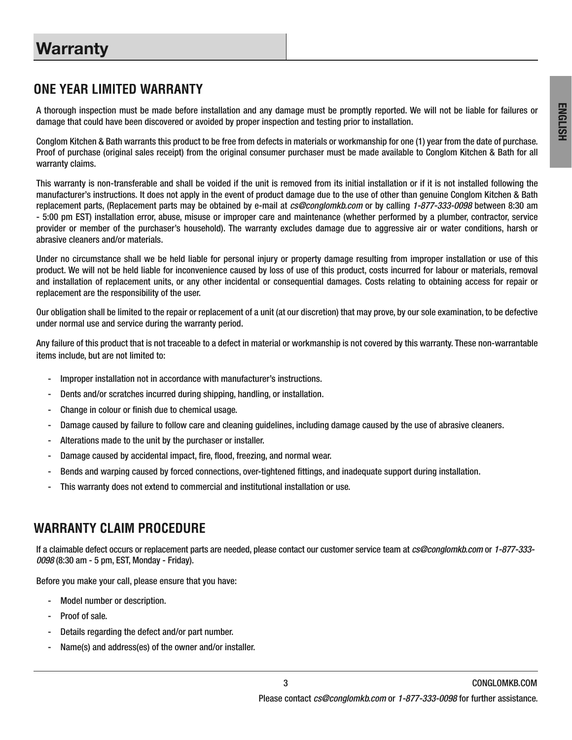# **Warranty**

#### **ONE YEAR LIMITED WARRANTY**

A thorough inspection must be made before installation and any damage must be promptly reported . We will not be liable for failures or damage that could have been discovered or avoided by proper inspection and testing prior to installation.

Conglom Kitchen & Bath warrants this product to be free from defects in materials or workmanship for one (1) year from the date of purchase. Proof of purchase (original sales receipt) from the original consumer purchaser must be made available to Conglom Kitchen & Bath for all warranty claims.

This warranty is non-transferable and shall be voided if the unit is removed from its initial installation or if it is not installed following the manufacturer's instructions . It does not apply in the event of product damage due to the use of other than genuine Conglom Kitchen & Bath replacement parts, (Replacement parts may be obtained by e-mail at cs@conglomkb.com or by calling 1-877-333-0098 between 8:30 am - 5:00 pm EST) installation error, abuse, misuse or improper care and maintenance (whether performed by a plumber, contractor, service provider or member of the purchaser's household). The warranty excludes damage due to aggressive air or water conditions, harsh or abrasive cleaners and/or materials.

Under no circumstance shall we be held liable for personal injury or property damage resulting from improper installation or use of this product . We will not be held liable for inconvenience caused by loss of use of this product, costs incurred for labour or materials, removal and installation of replacement units, or any other incidental or consequential damages . Costs relating to obtaining access for repair or replacement are the responsibility of the user.

Our obligation shall be limited to the repair or replacement of a unit (at our discretion) that may prove, by our sole examination, to be defective under normal use and service during the warranty period.

Any failure of this product that is not traceable to a defect in material or workmanship is not covered by this warranty . These non-warrantable items include, but are not limited to:

- Improper installation not in accordance with manufacturer's instructions.
- Dents and/or scratches incurred during shipping, handling, or installation.
- Change in colour or finish due to chemical usage.
- Damage caused by failure to follow care and cleaning guidelines, including damage caused by the use of abrasive cleaners .
- Alterations made to the unit by the purchaser or installer.
- Damage caused by accidental impact, fire, flood, freezing, and normal wear.
- Bends and warping caused by forced connections, over-tightened fittings, and inadequate support during installation.
- This warranty does not extend to commercial and institutional installation or use .

#### **WARRANTY CLAIM PROCEDURE**

If a claimable defect occurs or replacement parts are needed, please contact our customer service team at cs@conglomkb.com or 1-877-333-0098 (8:30 am - 5 pm, EST, Monday - Friday) .

Before you make your call, please ensure that you have:

- Model number or description.
- Proof of sale.
- Details regarding the defect and/or part number.
- Name(s) and address(es) of the owner and/or installer.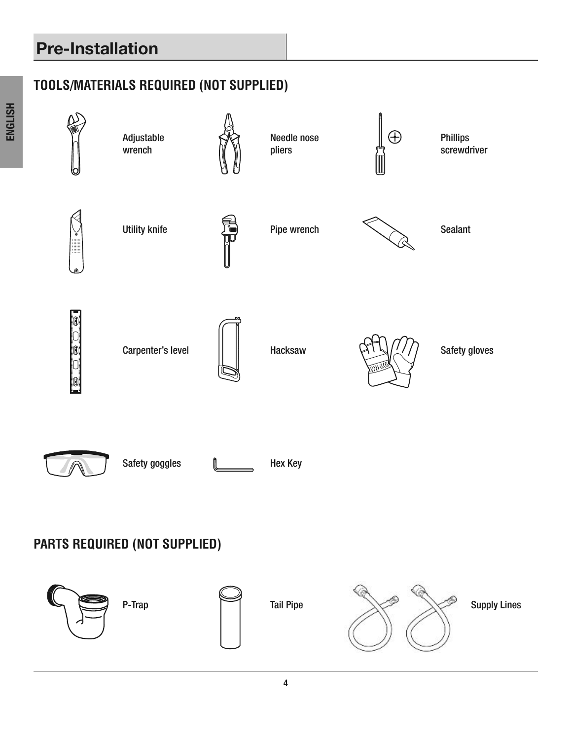# **Pre-Installation**

# **TOOLS/MATERIALS REQUIRED (NOT SUPPLIED)**

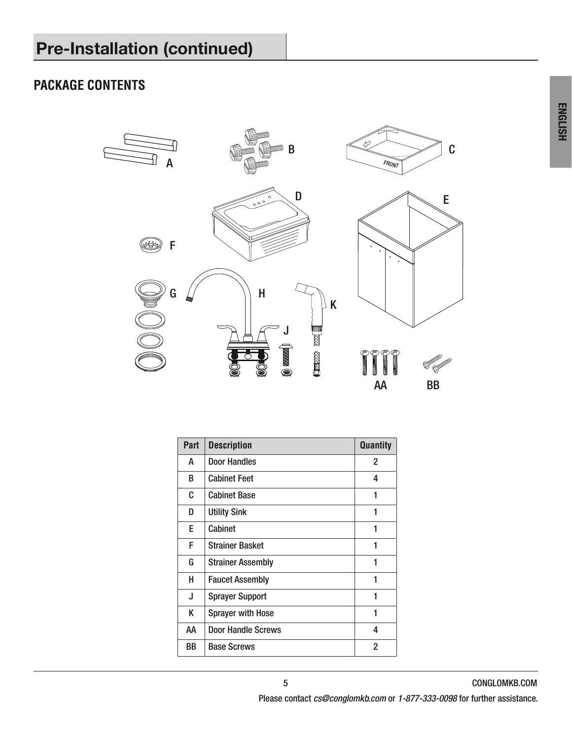### **PACKAGE CONTENTS**



| Part | <b>Description</b>       | <b>Quantity</b> |
|------|--------------------------|-----------------|
| А    | Door Handles             | 2               |
| B    | <b>Cabinet Feet</b>      | 4               |
| C    | <b>Cabinet Base</b>      | 1               |
| D    | <b>Utility Sink</b>      | 1               |
| E.   | Cabinet                  | 1               |
| F    | <b>Strainer Basket</b>   | 1               |
| G    | <b>Strainer Assembly</b> | 1               |
| н    | <b>Faucet Assembly</b>   | 1               |
| J    | <b>Sprayer Support</b>   | 1               |
| K    | <b>Sprayer with Hose</b> | 1               |
| АΑ   | Door Handle Screws       | 4               |
| BB   | <b>Base Screws</b>       | $\overline{2}$  |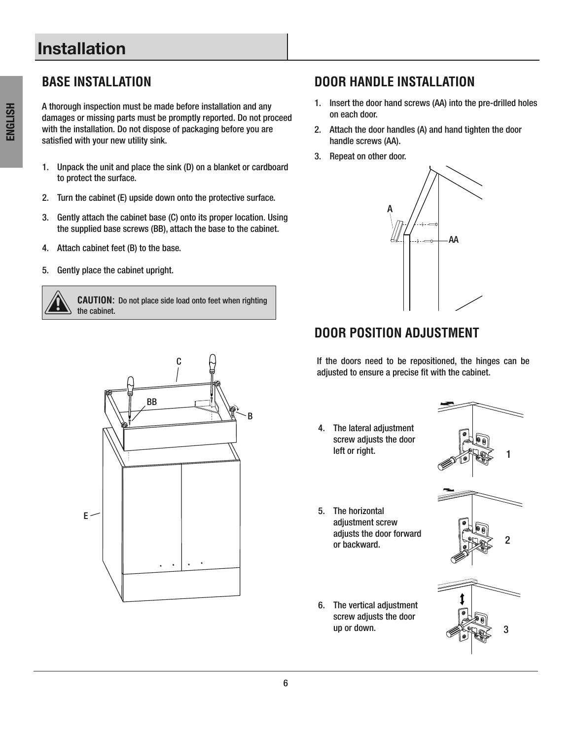# **Installation**

A thorough inspection must be made before installation and any damages or missing parts must be promptly reported. Do not proceed with the installation. Do not dispose of packaging before you are satisfied with your new utility sink.

- 1. Unpack the unit and place the sink (D) on a blanket or cardboard to protect the surface.
- 2. Turn the cabinet (E) upside down onto the protective surface.
- 3. Gently attach the cabinet base (C) onto its proper location. Using the supplied base screws (BB), attach the base to the cabinet.
- 4. Attach cabinet feet (B) to the base.
- 5. Gently place the cabinet upright.

**CAUTION:** Do not place side load onto feet when righting the cabinet.

# $F \leq$ C B BB

#### **BASE INSTALLATION DOOR HANDLE INSTALLATION**

- 1. Insert the door hand screws (AA) into the pre-drilled holes on each door.
- 2. Attach the door handles (A) and hand tighten the door handle screws (AA).
- 3. Repeat on other door.



# **DOOR POSITION ADJUSTMENT**

If the doors need to be repositioned, the hinges can be adjusted to ensure a precise fit with the cabinet.

4. The lateral adjustment screw adjusts the door left or right.



- 5 . The horizontal adjustment screw adjusts the door forward  $\log 2$ <br>or backward.  $\log 2$ 
	-
- 6. The vertical adjustment screw adjusts the door up or down.  $\mathscr{A}(\mathbb{R})\to 3$







ENGLISH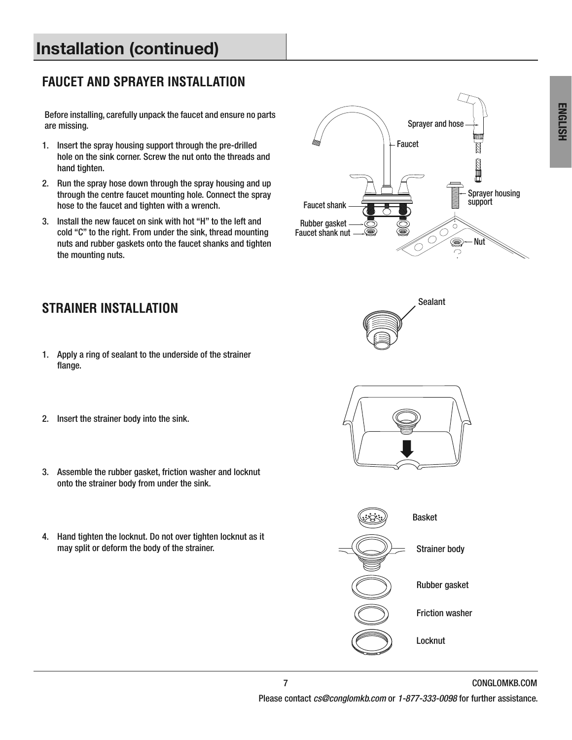# **Installation (continued)**

### **FAUCET AND SPRAYER INSTALLATION**

Before installing, carefully unpack the faucet and ensure no parts are missing.

- 1. Insert the spray housing support through the pre-drilled hole on the sink corner. Screw the nut onto the threads and hand tighten.
- 2. Run the spray hose down through the spray housing and up through the centre faucet mounting hole . Connect the spray hose to the faucet and tighten with a wrench.
- 3 . Install the new faucet on sink with hot "H" to the left and cold "C" to the right. From under the sink, thread mounting nuts and rubber gaskets onto the faucet shanks and tighten the mounting nuts.





# **STRAINER INSTALLATION**

- 1. Apply a ring of sealant to the underside of the strainer flange.
- 2. Insert the strainer body into the sink.
- 3. Assemble the rubber gasket, friction washer and locknut onto the strainer body from under the sink.
- 4. Hand tighten the locknut. Do not over tighten locknut as it may split or deform the body of the strainer.



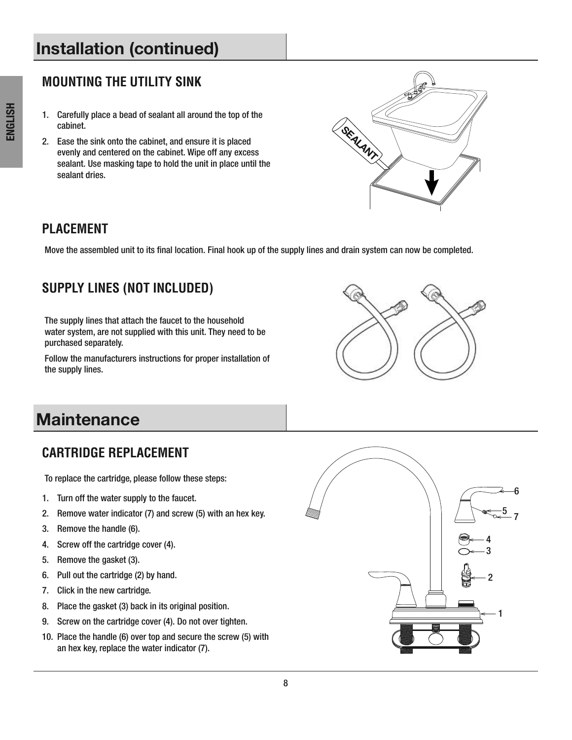# **Installation (continued)**

#### **MOUNTING THE UTILITY SINK**

- 1. Carefully place a bead of sealant all around the top of the cabinet.
- 2. Ease the sink onto the cabinet, and ensure it is placed evenly and centered on the cabinet. Wipe off any excess sealant. Use masking tape to hold the unit in place until the sealant dries.



#### **PLACEMENT**

Move the assembled unit to its final location. Final hook up of the supply lines and drain system can now be completed.

### **SUPPLY LINES (NOT INCLUDED)**

The supply lines that attach the faucet to the household water system, are not supplied with this unit. They need to be purchased separately.

Follow the manufacturers instructions for proper installation of the supply lines.



# **Maintenance**

#### **CARTRIDGE REPLACEMENT**

To replace the cartridge, please follow these steps:

- 1. Turn off the water supply to the faucet.
- 2. Remove water indicator (7) and screw (5) with an hex key.
- 3. Remove the handle (6).
- 4. Screw off the cartridge cover (4).
- 5. Remove the gasket (3).
- 6. Pull out the cartridge (2) by hand.
- 7. Click in the new cartridge.
- 8. Place the gasket (3) back in its original position.
- 9. Screw on the cartridge cover (4). Do not over tighten.
- 10 . Place the handle (6) over top and secure the screw (5) with an hex key, replace the water indicator (7) .

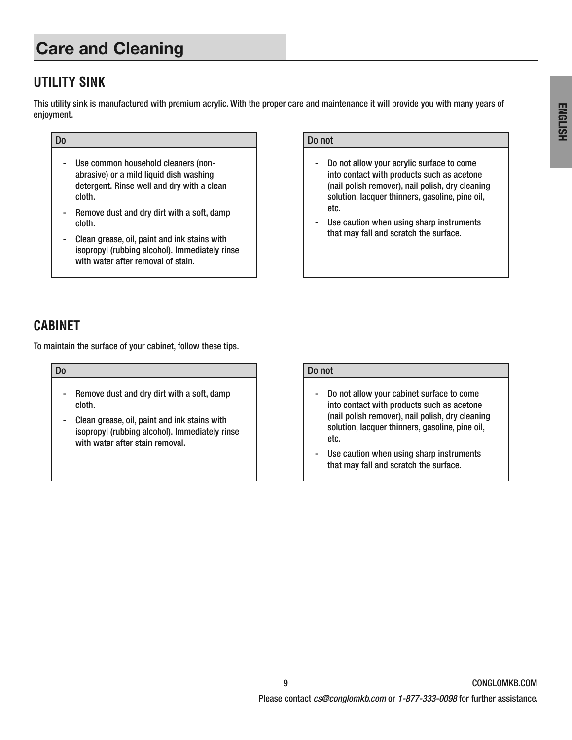# **Care and Cleaning**

#### **UTILITY SINK**

This utility sink is manufactured with premium acrylic . With the proper care and maintenance it will provide you with many years of enjoyment.

- Use common household cleaners (nonabrasive) or a mild liquid dish washing detergent. Rinse well and dry with a clean cloth.
- Remove dust and dry dirt with a soft, damp cloth.
- Clean grease, oil, paint and ink stains with isopropyl (rubbing alcohol). Immediately rinse with water after removal of stain.

#### Do Do not

- Do not allow your acrylic surface to come into contact with products such as acetone (nail polish remover), nail polish, dry cleaning solution, lacquer thinners, gasoline, pine oil, etc.
- Use caution when using sharp instruments that may fall and scratch the surface.

#### **CABINET**

To maintain the surface of your cabinet, follow these tips .

- Remove dust and dry dirt with a soft, damp cloth.
- Clean grease, oil, paint and ink stains with isopropyl (rubbing alcohol). Immediately rinse with water after stain removal.

#### Do Do not

- Do not allow your cabinet surface to come into contact with products such as acetone (nail polish remover), nail polish, dry cleaning solution, lacquer thinners, gasoline, pine oil, etc.
- Use caution when using sharp instruments that may fall and scratch the surface.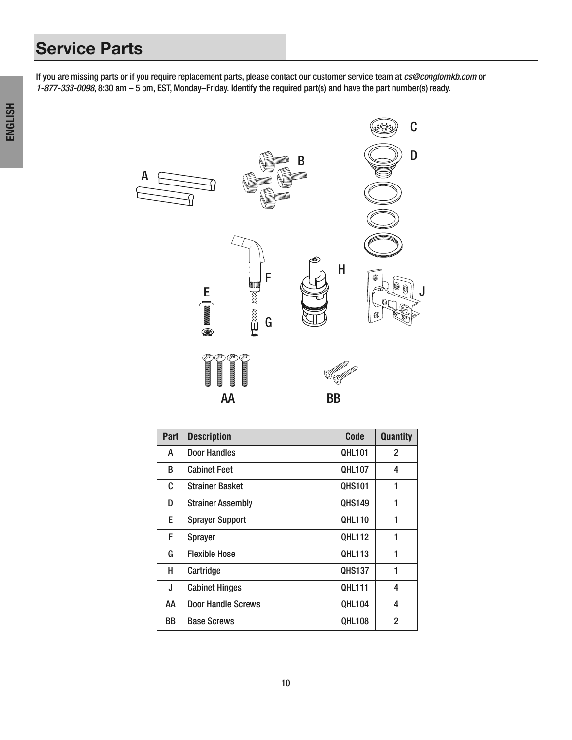# **Service Parts**

If you are missing parts or if you require replacement parts, please contact our customer service team at cs@conglomkb.com or 1-877-333-0098, 8:30 am – 5 pm, EST, Monday–Friday . Identify the required part(s) and have the part number(s) ready .



| Part | <b>Description</b>        | Code          | <b>Quantity</b> |
|------|---------------------------|---------------|-----------------|
| A    | Door Handles              | <b>QHL101</b> | 2               |
| B    | <b>Cabinet Feet</b>       | <b>QHL107</b> | 4               |
| C    | <b>Strainer Basket</b>    | <b>QHS101</b> | 1               |
| D    | <b>Strainer Assembly</b>  | <b>QHS149</b> | 1               |
| E    | <b>Sprayer Support</b>    | <b>QHL110</b> | 1               |
| F    | <b>Sprayer</b>            | QHL112        | 1               |
| G    | <b>Flexible Hose</b>      | <b>QHL113</b> | 1               |
| н    | Cartridge                 | <b>QHS137</b> | 1               |
| J    | <b>Cabinet Hinges</b>     | <b>QHL111</b> | 4               |
| AA   | <b>Door Handle Screws</b> | <b>QHL104</b> | 4               |
| BB   | <b>Base Screws</b>        | <b>QHL108</b> | $\overline{2}$  |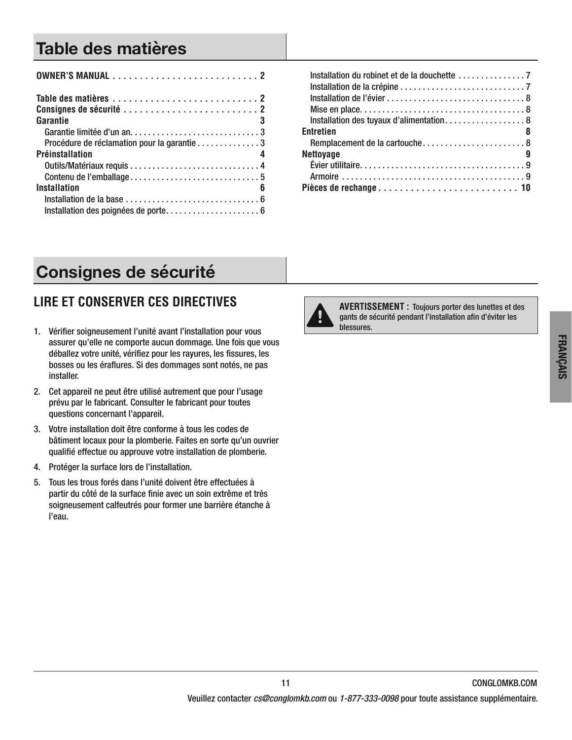# **Table des matières**

| Garantie<br>- 3                                                                     |
|-------------------------------------------------------------------------------------|
|                                                                                     |
| Procédure de réclamation pour la garantie 3                                         |
| Préinstallation                                                                     |
|                                                                                     |
|                                                                                     |
| Installation<br>6                                                                   |
| Installation de la base $\ldots, \ldots, \ldots, \ldots, \ldots, \ldots, \ldots, 6$ |
| Installation des poignées de porte 6                                                |

| <b>Entretien</b><br>$\sim$ 8 |
|------------------------------|
|                              |
| <b>Nettoyage</b>             |
|                              |
|                              |
|                              |

# **Consignes de sécurité**

# **LIRE ET CONSERVER CES DIRECTIVES**

- 1. Vérifier soigneusement l'unité avant l'installation pour vous assurer qu'elle ne comporte aucun dommage. Une fois que vous déballez votre unité, vérifiez pour les rayures, les fissures, les bosses ou les éraflures. Si des dommages sont notés, ne pas installer.
- 2. Cet appareil ne peut être utilisé autrement que pour l'usage prévu par le fabricant. Consulter le fabricant pour toutes questions concernant l'appareil.
- 3 . Votre installation doit être conforme à tous les codes de bâtiment locaux pour la plomberie. Faites en sorte qu'un ouvrier qualifié effectue ou approuve votre installation de plomberie.
- 4. Protéger la surface lors de l'installation.
- 5 . Tous les trous forés dans l'unité doivent être effectuées à partir du côté de la surface finie avec un soin extrême et très soigneusement calfeutrés pour former une barrière étanche à l'eau.



**AVERTISSEMENT :** Toujours porter des lunettes et des gants de sécurité pendant l'installation afin d'éviter les blessures.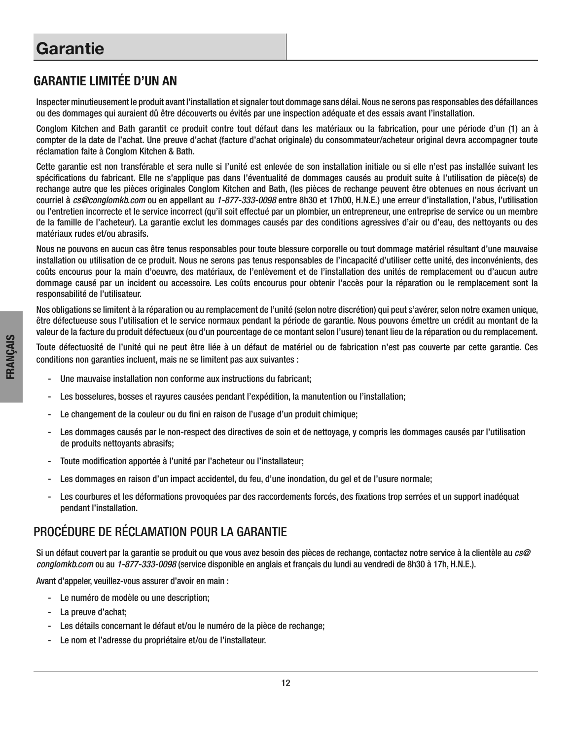#### GARANTIE LIMITÉE D'UN AN

Inspecter minutieusement le produit avant l'installation et signaler tout dommage sans délai . Nous ne serons pas responsables des défaillances ou des dommages qui auraient dû être découverts ou évités par une inspection adéquate et des essais avant l'installation .

Conglom Kitchen and Bath garantit ce produit contre tout défaut dans les matériaux ou la fabrication, pour une période d'un (1) an à compter de la date de l'achat . Une preuve d'achat (facture d'achat originale) du consommateur/acheteur original devra accompagner toute réclamation faite à Conglom Kitchen & Bath.

Cette garantie est non transférable et sera nulle si l'unité est enlevée de son installation initiale ou si elle n'est pas installée suivant les spécifications du fabricant. Elle ne s'applique pas dans l'éventualité de dommages causés au produit suite à l'utilisation de pièce(s) de rechange autre que les pièces originales Conglom Kitchen and Bath, (les pièces de rechange peuvent être obtenues en nous écrivant un courriel à cs@conglomkb.com ou en appellant au 1-877-333-0098 entre 8h30 et 17h00, H.N.E.) une erreur d'installation, l'abus, l'utilisation ou l'entretien incorrecte et le service incorrect (qu'il soit effectué par un plombier, un entrepreneur, une entreprise de service ou un membre de la famille de l'acheteur) . La garantie exclut les dommages causés par des conditions agressives d'air ou d'eau, des nettoyants ou des matériaux rudes et/ou abrasifs.

Nous ne pouvons en aucun cas être tenus responsables pour toute blessure corporelle ou tout dommage matériel résultant d'une mauvaise installation ou utilisation de ce produit. Nous ne serons pas tenus responsables de l'incapacité d'utiliser cette unité, des inconvénients, des coûts encourus pour la main d'oeuvre, des matériaux, de l'enlèvement et de l'installation des unités de remplacement ou d'aucun autre dommage causé par un incident ou accessoire. Les coûts encourus pour obtenir l'accès pour la réparation ou le remplacement sont la responsabilité de l'utilisateur.

Nos obligations se limitent à la réparation ou au remplacement de l'unité (selon notre discrétion) qui peut s'avérer, selon notre examen unique, être défectueuse sous l'utilisation et le service normaux pendant la période de garantie . Nous pouvons émettre un crédit au montant de la valeur de la facture du produit défectueux (ou d'un pourcentage de ce montant selon l'usure) tenant lieu de la réparation ou du remplacement .

Toute défectuosité de l'unité qui ne peut être liée à un défaut de matériel ou de fabrication n'est pas couverte par cette garantie . Ces conditions non garanties incluent, mais ne se limitent pas aux suivantes :

- Une mauvaise installation non conforme aux instructions du fabricant;
- Les bosselures, bosses et rayures causées pendant l'expédition, la manutention ou l'installation;
- Le changement de la couleur ou du fini en raison de l'usage d'un produit chimique;
- Les dommages causés par le non-respect des directives de soin et de nettoyage, y compris les dommages causés par l'utilisation de produits nettoyants abrasifs;
- Toute modification apportée à l'unité par l'acheteur ou l'installateur;
- Les dommages en raison d'un impact accidentel, du feu, d'une inondation, du gel et de l'usure normale;
- Les courbures et les déformations provoquées par des raccordements forcés, des fixations trop serrées et un support inadéquat pendant l'installation.

#### PROCÉDURE DE RÉCLAMATION POUR LA GARANTIE

Si un défaut couvert par la garantie se produit ou que vous avez besoin des pièces de rechange, contactez notre service à la clientèle au cs@ conglomkb.com ou au 1-877-333-0098 (service disponible en anglais et français du lundi au vendredi de 8h30 à 17h, H.N.E.).

Avant d'appeler, veuillez-vous assurer d'avoir en main :

- Le numéro de modèle ou une description;
- La preuve d'achat;
- Les détails concernant le défaut et/ou le numéro de la pièce de rechange;
- Le nom et l'adresse du propriétaire et/ou de l'installateur.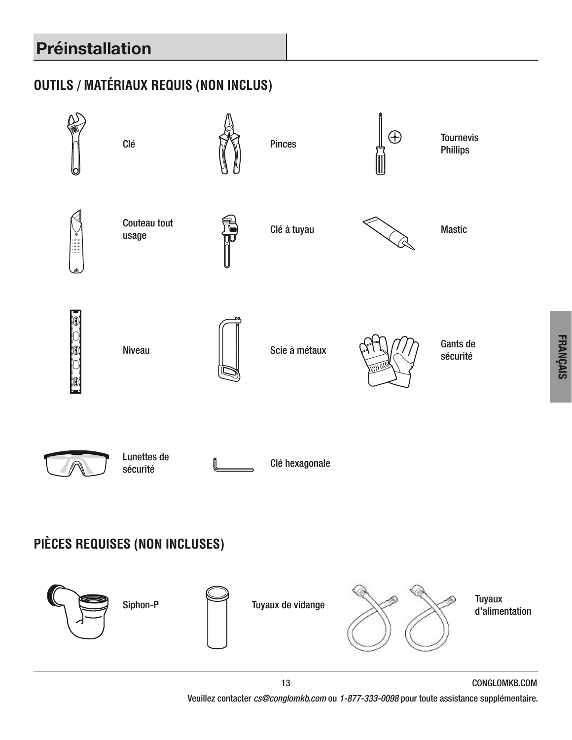# **Préinstallation**

# **OUTILS / MATÉRIAUX REQUIS (NON INCLUS)**

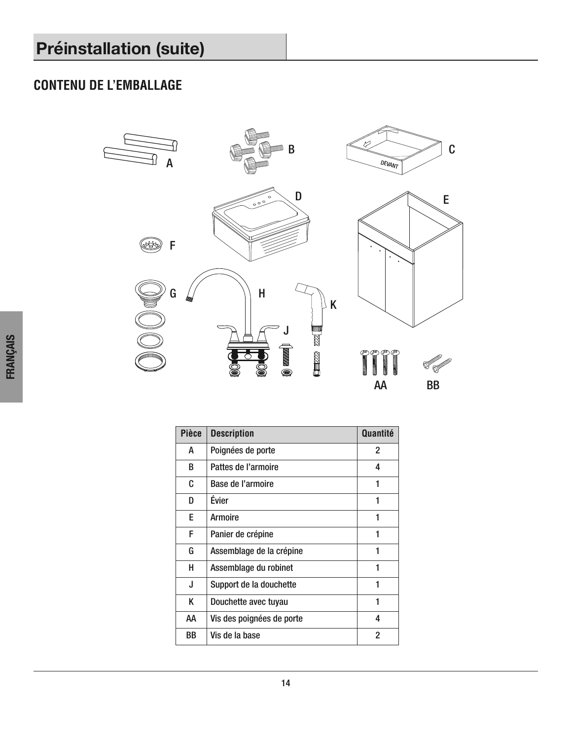# **CONTENU DE L'EMBALLAGE**



| <b>Pièce</b> | <b>Description</b>        | Quantité |
|--------------|---------------------------|----------|
| A            | Poignées de porte         | 2        |
| B            | Pattes de l'armoire       | 4        |
| C            | Base de l'armoire         | 1        |
| D            | Évier                     | 1        |
| E.           | <b>Armoire</b>            | 1        |
| F            | Panier de crépine         | 1        |
| G            | Assemblage de la crépine  | 1        |
| н            | Assemblage du robinet     | 1        |
| J            | Support de la douchette   | 1        |
| K            | Douchette avec tuyau      | 1        |
| AA           | Vis des poignées de porte | 4        |
| BB           | Vis de la base            | 2        |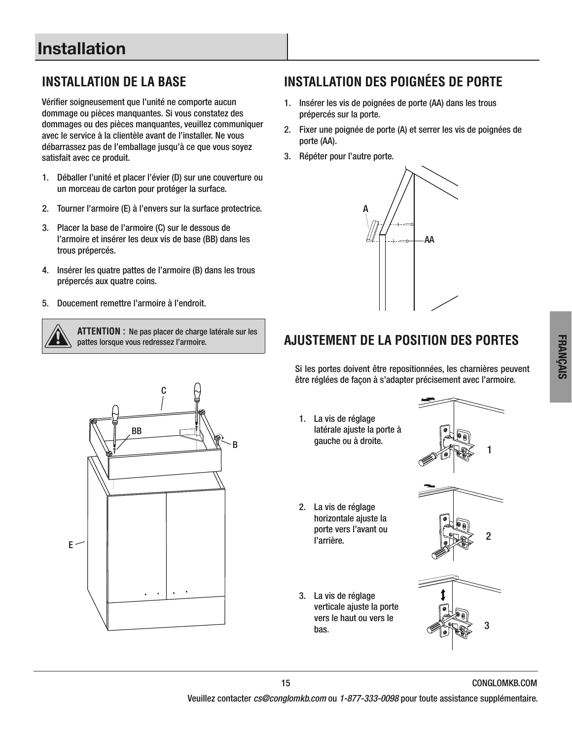Vérifier soigneusement que l'unité ne comporte aucun dommage ou pièces manquantes. Si vous constatez des dommages ou des pièces manquantes, veuillez communiquer avec le service à la clientèle avant de l'installer. Ne vous débarrassez pas de l'emballage jusqu'à ce que vous soyez satisfait avec ce produit.

- 1. Déballer l'unité et placer l'évier (D) sur une couverture ou un morceau de carton pour protéger la surface.
- 2. Tourner l'armoire (E) à l'envers sur la surface protectrice.
- 3 . Placer la base de l'armoire (C) sur le dessous de l'armoire et insérer les deux vis de base (BB) dans les trous prépercés .
- 4 . Insérer les quatre pattes de l'armoire (B) dans les trous prépercés aux quatre coins.
- 5. Doucement remettre l'armoire à l'endroit.



**ATTENTION :** Ne pas placer de charge latérale sur les pattes lorsque vous redressez l'armoire.



# **INSTALLATION DE LA BASE INSTALLATION DES POIGNÉES DE PORTE**

- 1. Insérer les vis de poignées de porte (AA) dans les trous prépercés sur la porte.
- 2 . Fixer une poignée de porte (A) et serrer les vis de poignées de porte (AA).
- 3. Répéter pour l'autre porte.



### **AJUSTEMENT DE LA POSITION DES PORTES**

Si les portes doivent être repositionnées, les charnières peuvent être réglées de façon à s'adapter précisement avec l'armoire.

- 1. La vis de réglage latérale ajuste la porte à gauche ou à droite.
- 2. La vis de réglage horizontale ajuste la porte vers l'avant ou porte vers i avaitt ou  $\sqrt{\frac{9}{9}}$  2
- 3. La vis de réglage verticale ajuste la porte vers le haut ou vers le bas.  $\bigcirc$  bas . 3

1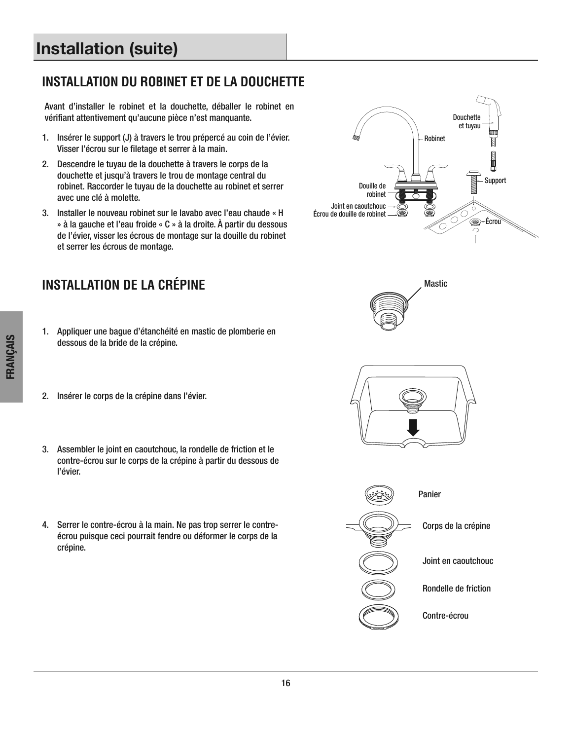# **Installation (suite)**

#### **INSTALLATION DU ROBINET ET DE LA DOUCHETTE**

Avant d'installer le robinet et la douchette, déballer le robinet en vérifiant attentivement qu'aucune pièce n'est manquante.

- 1. Insérer le support (J) à travers le trou prépercé au coin de l'évier. Visser l'écrou sur le filetage et serrer à la main.
- 2. Descendre le tuyau de la douchette à travers le corps de la douchette et jusqu'à travers le trou de montage central du robinet. Raccorder le tuyau de la douchette au robinet et serrer avec une clé à molette.
- 3 . Installer le nouveau robinet sur le lavabo avec l'eau chaude « H » à la gauche et l'eau froide « C » à la droite . À partir du dessous de l'évier, visser les écrous de montage sur la douille du robinet et serrer les écrous de montage.

### **INSTALLATION DE LA CRÉPINE**

- 1. Appliquer une bague d'étanchéité en mastic de plomberie en dessous de la bride de la crépine.
- 2. Insérer le corps de la crépine dans l'évier.
- 3 . Assembler le joint en caoutchouc, la rondelle de friction et le contre-écrou sur le corps de la crépine à partir du dessous de l'évier.
- 4. Serrer le contre-écrou à la main. Ne pas trop serrer le contreécrou puisque ceci pourrait fendre ou déformer le corps de la crépine.









FRANÇAIS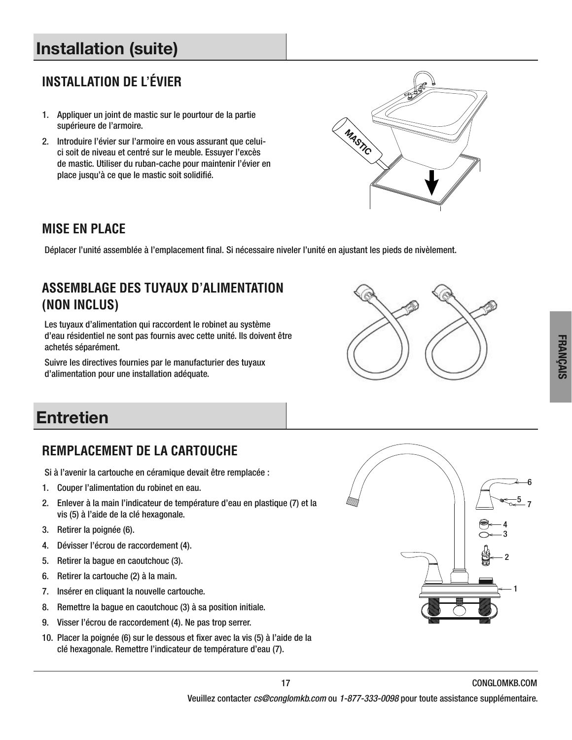# **Installation (suite)**

# **INSTALLATION DE L'ÉVIER**

- 1. Appliquer un joint de mastic sur le pourtour de la partie supérieure de l'armoire.
- 2 . Introduire l'évier sur l'armoire en vous assurant que celuici soit de niveau et centré sur le meuble. Essuyer l'excès de mastic. Utiliser du ruban-cache pour maintenir l'évier en place jusqu'à ce que le mastic soit solidifié.



#### **MISE EN PLACE**

Déplacer l'unité assemblée à l'emplacement final. Si nécessaire niveler l'unité en ajustant les pieds de nivèlement.

## **ASSEMBLAGE DES TUYAUX D'ALIMENTATION (NON INCLUS)**

Les tuyaux d'alimentation qui raccordent le robinet au système d'eau résidentiel ne sont pas fournis avec cette unité . Ils doivent être achetés séparément.

Suivre les directives fournies par le manufacturier des tuyaux d'alimentation pour une installation adéquate.



# **Entretien**

# **REMPLACEMENT DE LA CARTOUCHE**

Si à l'avenir la cartouche en céramique devait être remplacée :

- 1. Couper l'alimentation du robinet en eau.
- 2 . Enlever à la main l'indicateur de température d'eau en plastique (7) et la vis (5) à l'aide de la clé hexagonale.
- 3. Retirer la poignée (6).
- 4. Dévisser l'écrou de raccordement (4).
- 5 . Retirer la bague en caoutchouc (3) .
- 6. Retirer la cartouche (2) à la main.
- 7. Insérer en cliquant la nouvelle cartouche.
- 8. Remettre la bague en caoutchouc (3) à sa position initiale.
- 9. Visser l'écrou de raccordement (4). Ne pas trop serrer.
- 10 . Placer la poignée (6) sur le dessous et fixer avec la vis (5) à l'aide de la clé hexagonale. Remettre l'indicateur de température d'eau (7).

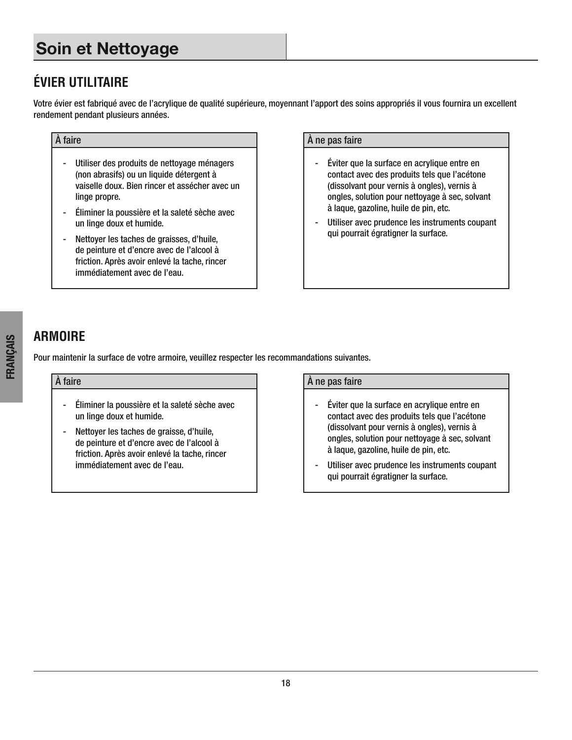# **Soin et Nettoyage**

# **ÉVIER UTILITAIRE**

Votre évier est fabriqué avec de l'acrylique de qualité supérieure, moyennant l'apport des soins appropriés il vous fournira un excellent rendement pendant plusieurs années .

- Utiliser des produits de nettoyage ménagers (non abrasifs) ou un liquide détergent à vaiselle doux. Bien rincer et assécher avec un linge propre.
- Éliminer la poussière et la saleté sèche avec un linge doux et humide.
- Nettoyer les taches de graisses, d'huile, de peinture et d'encre avec de l'alcool à friction. Après avoir enlevé la tache, rincer immédiatement avec de l'eau.

#### $\overrightarrow{A}$  faire  $\overrightarrow{A}$  ne pas faire

- Éviter que la surface en acrylique entre en contact avec des produits tels que l'acétone (dissolvant pour vernis à ongles), vernis à ongles, solution pour nettoyage à sec, solvant à laque, gazoline, huile de pin, etc.
- Utiliser avec prudence les instruments coupant qui pourrait égratigner la surface.

#### **ARMOIRE**

Pour maintenir la surface de votre armoire, veuillez respecter les recommandations suivantes.

- Éliminer la poussière et la saleté sèche avec un linge doux et humide.
- Nettoyer les taches de graisse, d'huile, de peinture et d'encre avec de l'alcool à friction. Après avoir enlevé la tache, rincer immédiatement avec de l'eau.

#### $\hat{A}$  faire  $\hat{A}$  ne pas faire

- Éviter que la surface en acrylique entre en contact avec des produits tels que l'acétone (dissolvant pour vernis à ongles), vernis à ongles, solution pour nettoyage à sec, solvant à laque, gazoline, huile de pin, etc.
- Utiliser avec prudence les instruments coupant qui pourrait égratigner la surface.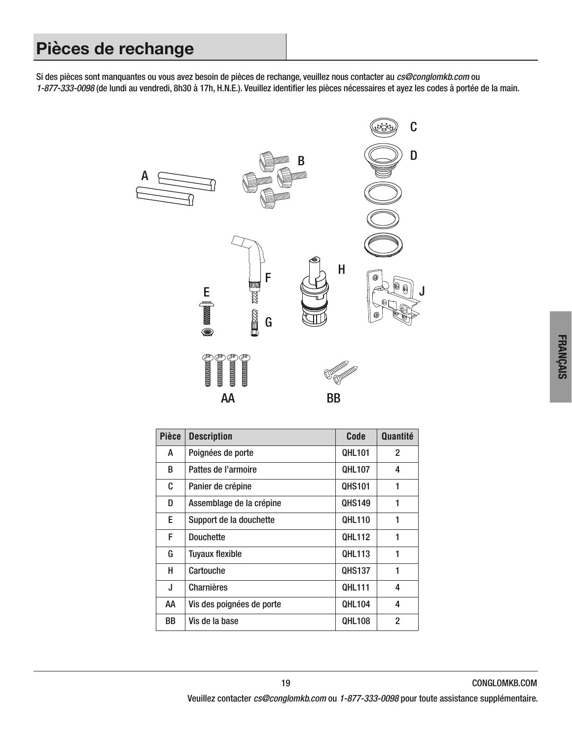# **Pièces de rechange**

Si des pièces sont manquantes ou vous avez besoin de pièces de rechange, veuillez nous contacter au cs@conglomkb.com ou 1-877-333-0098 (de lundi au vendredi, 8h30 à 17h, H.N.E.). Veuillez identifier les pièces nécessaires et ayez les codes à portée de la main.



| <b>Pièce</b> | <b>Description</b>        | Code          | Quantité       |
|--------------|---------------------------|---------------|----------------|
| А            | Poignées de porte         | <b>QHL101</b> | $\overline{2}$ |
| B            | Pattes de l'armoire       | <b>QHL107</b> | 4              |
| C            | Panier de crépine         | <b>QHS101</b> | 1              |
| D            | Assemblage de la crépine  | <b>QHS149</b> | 1              |
| E.           | Support de la douchette   | <b>QHL110</b> | 1              |
| F            | <b>Douchette</b>          | <b>QHL112</b> | 1              |
| G            | <b>Tuyaux flexible</b>    | <b>QHL113</b> | 1              |
| н            | Cartouche                 | <b>QHS137</b> | 1              |
| J            | Charnières                | <b>QHL111</b> | 4              |
| AΑ           | Vis des poignées de porte | <b>QHL104</b> | 4              |
| BB           | Vis de la base            | <b>QHL108</b> | $\overline{2}$ |